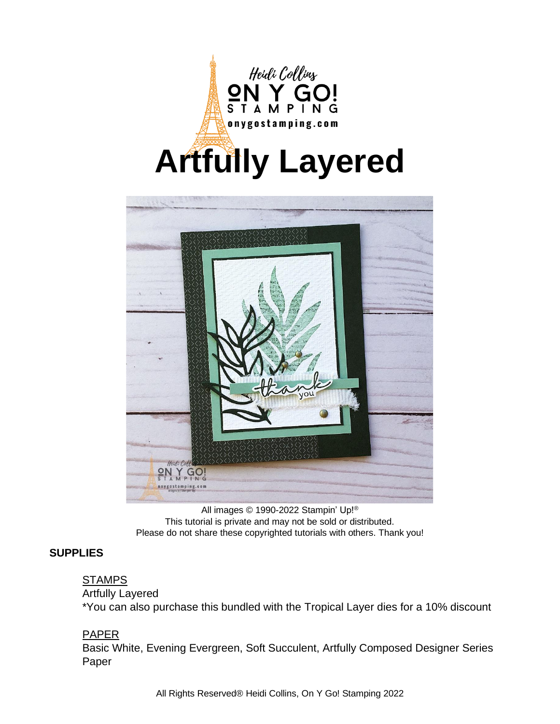



All images © 1990-2022 Stampin' Up!® This tutorial is private and may not be sold or distributed. Please do not share these copyrighted tutorials with others. Thank you!

#### **SUPPLIES**

### **STAMPS**

#### Artfully Layered

\*You can also purchase this bundled with the Tropical Layer dies for a 10% discount

#### PAPER

Basic White, Evening Evergreen, Soft Succulent, Artfully Composed Designer Series Paper